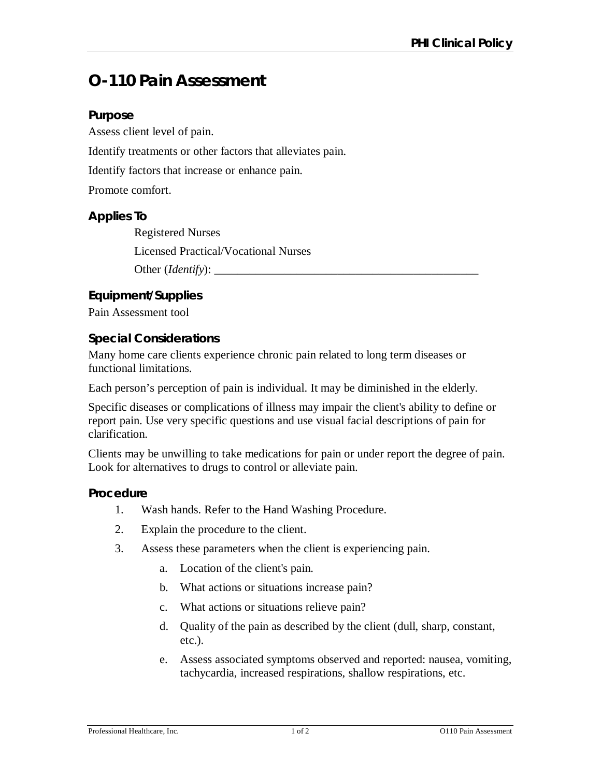# **O-110 Pain Assessment**

### **Purpose**

Assess client level of pain.

Identify treatments or other factors that alleviates pain.

Identify factors that increase or enhance pain.

Promote comfort.

## **Applies To**

Registered Nurses

Licensed Practical/Vocational Nurses

Other (*Identify*):

# **Equipment/Supplies**

Pain Assessment tool

#### **Special Considerations**

Many home care clients experience chronic pain related to long term diseases or functional limitations.

Each person's perception of pain is individual. It may be diminished in the elderly.

Specific diseases or complications of illness may impair the client's ability to define or report pain. Use very specific questions and use visual facial descriptions of pain for clarification.

Clients may be unwilling to take medications for pain or under report the degree of pain. Look for alternatives to drugs to control or alleviate pain.

#### **Procedure**

- 1. Wash hands. Refer to the Hand Washing Procedure.
- 2. Explain the procedure to the client.
- 3. Assess these parameters when the client is experiencing pain.
	- a. Location of the client's pain.
	- b. What actions or situations increase pain?
	- c. What actions or situations relieve pain?
	- d. Quality of the pain as described by the client (dull, sharp, constant, etc.).
	- e. Assess associated symptoms observed and reported: nausea, vomiting, tachycardia, increased respirations, shallow respirations, etc.